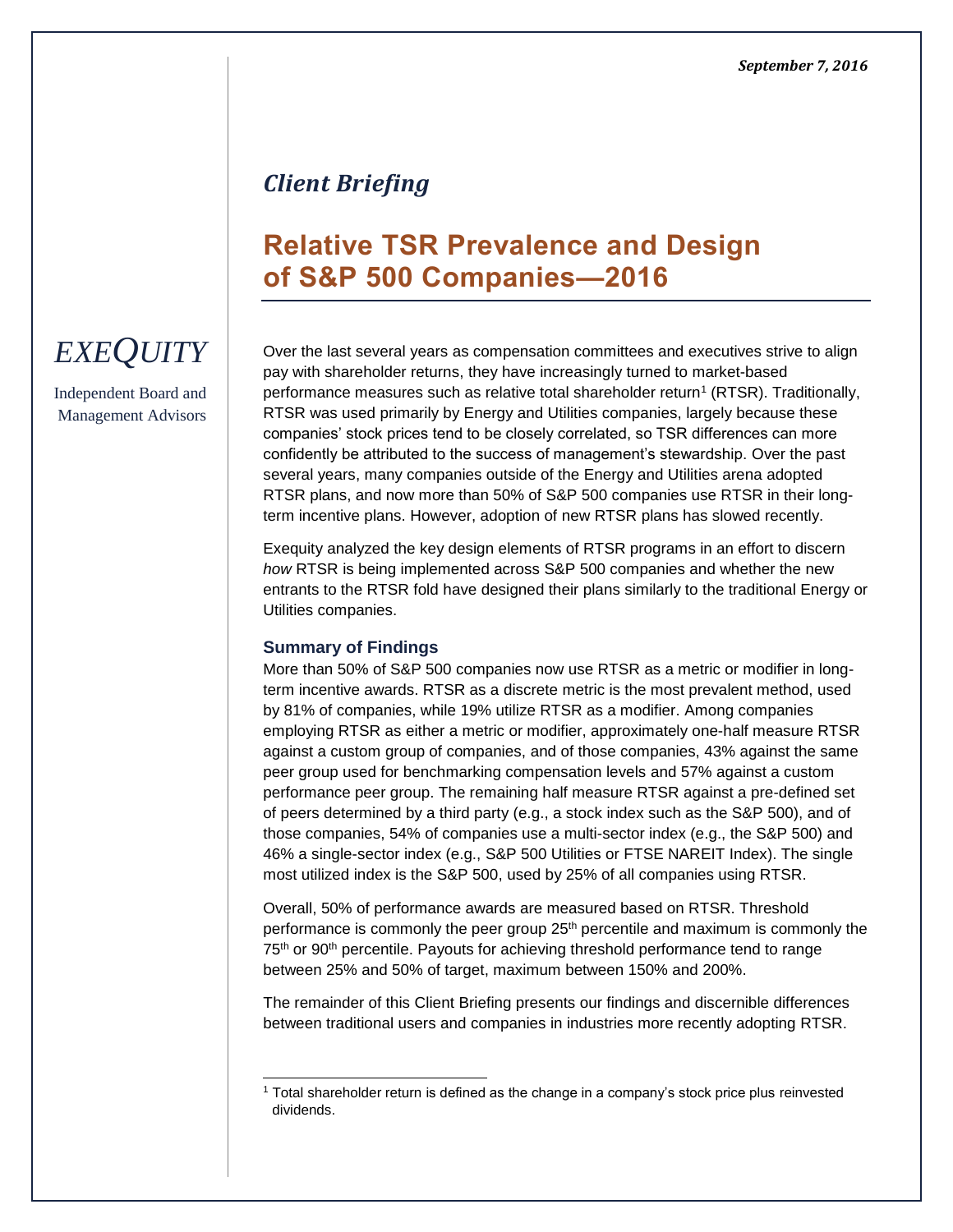# *Client Briefing*

# **Relative TSR Prevalence and Design of S&P 500 Companies—2016**

## Over the last several years as compensation committees and executives strive to align pay with shareholder returns, they have increasingly turned to market-based performance measures such as relative total shareholder return<sup>1</sup> (RTSR). Traditionally, RTSR was used primarily by Energy and Utilities companies, largely because these companies' stock prices tend to be closely correlated, so TSR differences can more confidently be attributed to the success of management's stewardship. Over the past several years, many companies outside of the Energy and Utilities arena adopted RTSR plans, and now more than 50% of S&P 500 companies use RTSR in their longterm incentive plans. However, adoption of new RTSR plans has slowed recently.

Exequity analyzed the key design elements of RTSR programs in an effort to discern *how* RTSR is being implemented across S&P 500 companies and whether the new entrants to the RTSR fold have designed their plans similarly to the traditional Energy or Utilities companies.

## **Summary of Findings**

l

More than 50% of S&P 500 companies now use RTSR as a metric or modifier in longterm incentive awards. RTSR as a discrete metric is the most prevalent method, used by 81% of companies, while 19% utilize RTSR as a modifier. Among companies employing RTSR as either a metric or modifier, approximately one-half measure RTSR against a custom group of companies, and of those companies, 43% against the same peer group used for benchmarking compensation levels and 57% against a custom performance peer group. The remaining half measure RTSR against a pre-defined set of peers determined by a third party (e.g., a stock index such as the S&P 500), and of those companies, 54% of companies use a multi-sector index (e.g., the S&P 500) and 46% a single-sector index (e.g., S&P 500 Utilities or FTSE NAREIT Index). The single most utilized index is the S&P 500, used by 25% of all companies using RTSR.

Overall, 50% of performance awards are measured based on RTSR. Threshold performance is commonly the peer group 25th percentile and maximum is commonly the 75<sup>th</sup> or 90<sup>th</sup> percentile. Payouts for achieving threshold performance tend to range between 25% and 50% of target, maximum between 150% and 200%.

The remainder of this Client Briefing presents our findings and discernible differences between traditional users and companies in industries more recently adopting RTSR.

# *EXEQUITY*

Independent Board and Management Advisors

<sup>1</sup> Total shareholder return is defined as the change in a company's stock price plus reinvested dividends.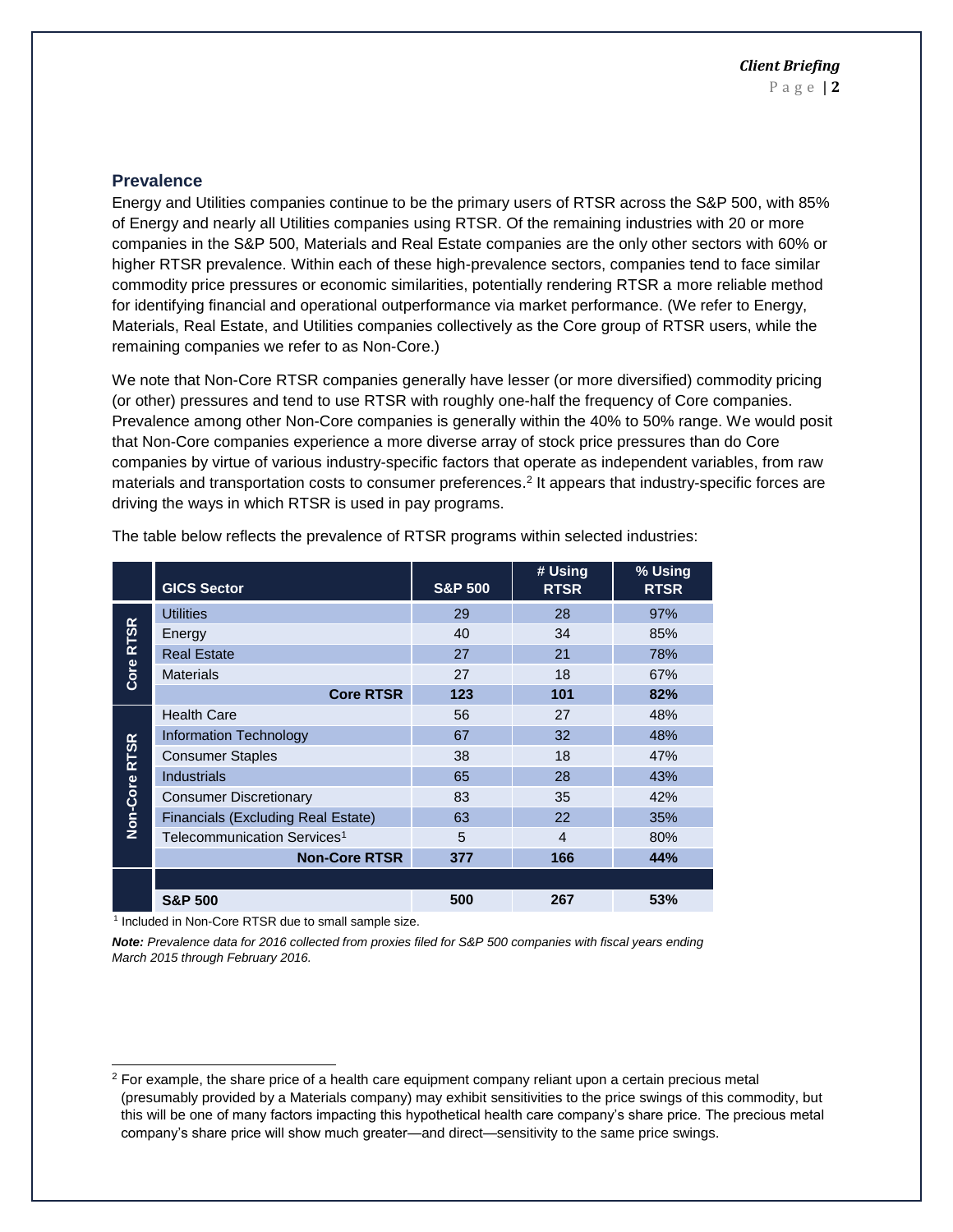#### **Prevalence**

Energy and Utilities companies continue to be the primary users of RTSR across the S&P 500, with 85% of Energy and nearly all Utilities companies using RTSR. Of the remaining industries with 20 or more companies in the S&P 500, Materials and Real Estate companies are the only other sectors with 60% or higher RTSR prevalence. Within each of these high-prevalence sectors, companies tend to face similar commodity price pressures or economic similarities, potentially rendering RTSR a more reliable method for identifying financial and operational outperformance via market performance. (We refer to Energy, Materials, Real Estate, and Utilities companies collectively as the Core group of RTSR users, while the remaining companies we refer to as Non-Core.)

We note that Non-Core RTSR companies generally have lesser (or more diversified) commodity pricing (or other) pressures and tend to use RTSR with roughly one-half the frequency of Core companies. Prevalence among other Non-Core companies is generally within the 40% to 50% range. We would posit that Non-Core companies experience a more diverse array of stock price pressures than do Core companies by virtue of various industry-specific factors that operate as independent variables, from raw materials and transportation costs to consumer preferences. 2 It appears that industry-specific forces are driving the ways in which RTSR is used in pay programs.

|               | <b>GICS Sector</b>                      | <b>S&amp;P 500</b> | # Using<br><b>RTSR</b> | % Using<br><b>RTSR</b> |
|---------------|-----------------------------------------|--------------------|------------------------|------------------------|
|               | <b>Utilities</b>                        | 29                 | 28                     | 97%                    |
| <b>RTSR</b>   | Energy                                  | 40                 | 34                     | 85%                    |
|               | <b>Real Estate</b>                      | 27                 | 21                     | 78%                    |
| Core          | <b>Materials</b>                        | 27                 | 18                     | 67%                    |
|               | <b>Core RTSR</b>                        | 123                | 101                    | 82%                    |
|               | <b>Health Care</b>                      | 56                 | 27                     | 48%                    |
|               | <b>Information Technology</b>           | 67                 | 32                     | 48%                    |
| Non-Core RTSR | <b>Consumer Staples</b>                 | 38                 | 18                     | 47%                    |
|               | <b>Industrials</b>                      | 65                 | 28                     | 43%                    |
|               | <b>Consumer Discretionary</b>           | 83                 | 35                     | 42%                    |
|               | Financials (Excluding Real Estate)      | 63                 | 22                     | 35%                    |
|               | Telecommunication Services <sup>1</sup> | 5                  | 4                      | 80%                    |
|               | <b>Non-Core RTSR</b>                    | 377                | 166                    | 44%                    |
|               |                                         |                    |                        |                        |
|               | <b>S&amp;P 500</b>                      | 500                | 267                    | 53%                    |

The table below reflects the prevalence of RTSR programs within selected industries:

<sup>1</sup> Included in Non-Core RTSR due to small sample size.

l

*Note: Prevalence data for 2016 collected from proxies filed for S&P 500 companies with fiscal years ending March 2015 through February 2016.* 

<sup>&</sup>lt;sup>2</sup> For example, the share price of a health care equipment company reliant upon a certain precious metal (presumably provided by a Materials company) may exhibit sensitivities to the price swings of this commodity, but this will be one of many factors impacting this hypothetical health care company's share price. The precious metal company's share price will show much greater—and direct—sensitivity to the same price swings.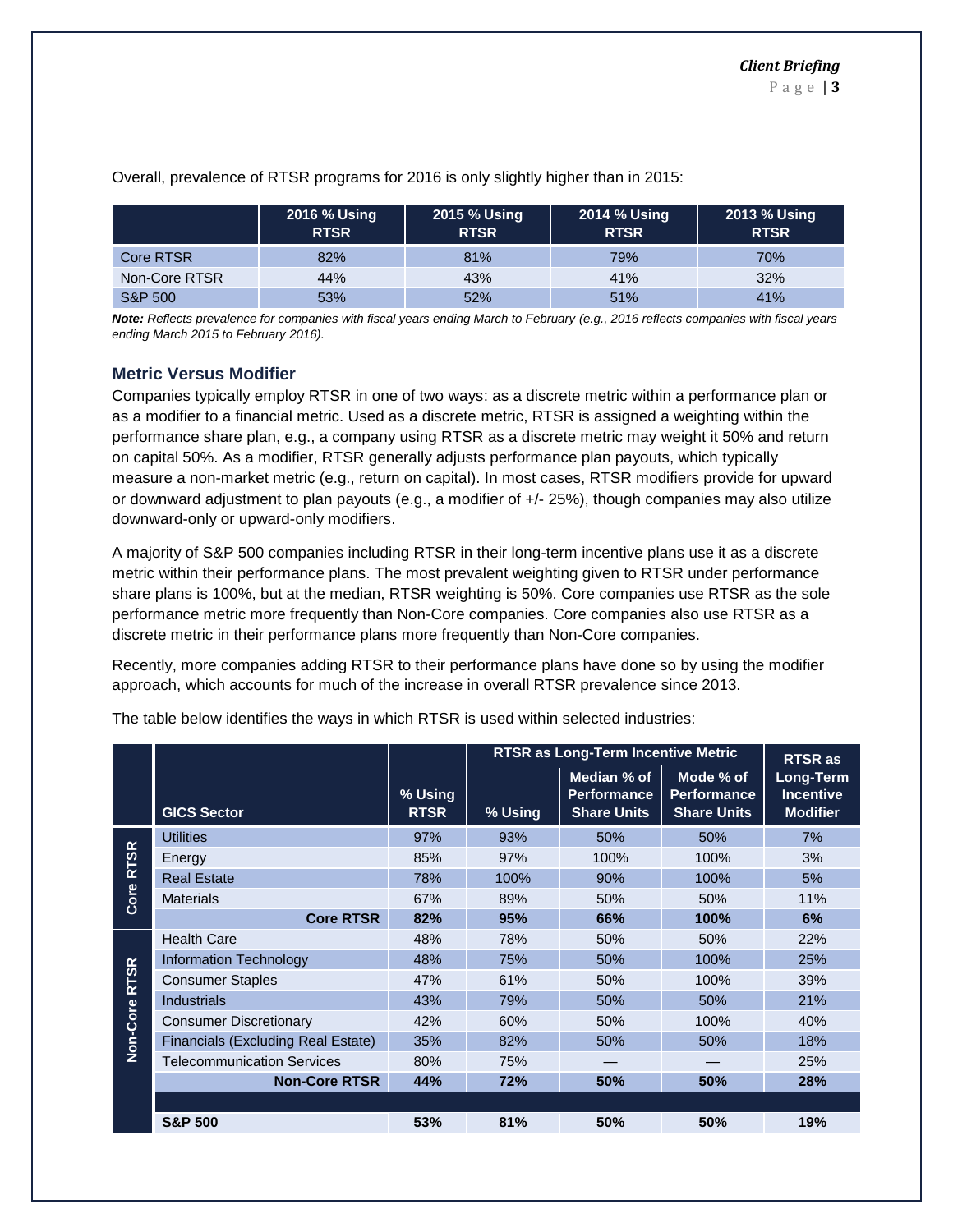|                    | 2016 % Using<br><b>RTSR</b> | 2015 % Using<br><b>RTSR</b> | 2014 % Using<br><b>RTSR</b> | 2013 % Using<br><b>RTSR</b> |
|--------------------|-----------------------------|-----------------------------|-----------------------------|-----------------------------|
| Core RTSR          | 82%                         | 81%                         | 79%                         | 70%                         |
| Non-Core RTSR      | 44%                         | 43%                         | 41%                         | 32%                         |
| <b>S&amp;P 500</b> | 53%                         | 52%                         | 51%                         | 41%                         |

Overall, prevalence of RTSR programs for 2016 is only slightly higher than in 2015:

*Note: Reflects prevalence for companies with fiscal years ending March to February (e.g., 2016 reflects companies with fiscal years ending March 2015 to February 2016).* 

#### **Metric Versus Modifier**

Companies typically employ RTSR in one of two ways: as a discrete metric within a performance plan or as a modifier to a financial metric. Used as a discrete metric, RTSR is assigned a weighting within the performance share plan, e.g., a company using RTSR as a discrete metric may weight it 50% and return on capital 50%. As a modifier, RTSR generally adjusts performance plan payouts, which typically measure a non-market metric (e.g., return on capital). In most cases, RTSR modifiers provide for upward or downward adjustment to plan payouts (e.g., a modifier of +/- 25%), though companies may also utilize downward-only or upward-only modifiers.

A majority of S&P 500 companies including RTSR in their long-term incentive plans use it as a discrete metric within their performance plans. The most prevalent weighting given to RTSR under performance share plans is 100%, but at the median, RTSR weighting is 50%. Core companies use RTSR as the sole performance metric more frequently than Non-Core companies. Core companies also use RTSR as a discrete metric in their performance plans more frequently than Non-Core companies.

Recently, more companies adding RTSR to their performance plans have done so by using the modifier approach, which accounts for much of the increase in overall RTSR prevalence since 2013.

|                  |                                    |                        | <b>RTSR as Long-Term Incentive Metric</b> |                                                         |                                                       |                                                                    |  |  |  |  |
|------------------|------------------------------------|------------------------|-------------------------------------------|---------------------------------------------------------|-------------------------------------------------------|--------------------------------------------------------------------|--|--|--|--|
|                  | <b>GICS Sector</b>                 | % Using<br><b>RTSR</b> | % Using                                   | Median % of<br><b>Performance</b><br><b>Share Units</b> | Mode % of<br><b>Performance</b><br><b>Share Units</b> | <b>RTSR as</b><br>Long-Term<br><b>Incentive</b><br><b>Modifier</b> |  |  |  |  |
|                  | <b>Utilities</b>                   | 97%                    | 93%                                       | 50%                                                     | 50%                                                   | 7%                                                                 |  |  |  |  |
| <b>TSR</b>       | Energy                             | 85%                    | 97%                                       | 100%                                                    | 100%                                                  | 3%                                                                 |  |  |  |  |
| œ<br>Core        | <b>Real Estate</b>                 | 78%                    | 100%                                      | 90%                                                     | 100%                                                  | 5%                                                                 |  |  |  |  |
|                  | <b>Materials</b>                   | 67%                    | 89%                                       | 50%                                                     | 50%                                                   | 11%                                                                |  |  |  |  |
|                  | <b>Core RTSR</b>                   | 82%                    | 95%                                       | 66%                                                     | 100%                                                  | 6%                                                                 |  |  |  |  |
| $\alpha$<br>RTSI | <b>Health Care</b>                 | 48%                    | 78%                                       | 50%                                                     | 50%                                                   | 22%                                                                |  |  |  |  |
|                  | <b>Information Technology</b>      | 48%                    | 75%                                       | 50%                                                     | 100%                                                  | 25%                                                                |  |  |  |  |
|                  | <b>Consumer Staples</b>            | 47%                    | 61%                                       | 50%                                                     | 100%                                                  | 39%                                                                |  |  |  |  |
|                  | <b>Industrials</b>                 | 43%                    | 79%                                       | 50%                                                     | 50%                                                   | 21%                                                                |  |  |  |  |
| Non-Core         | <b>Consumer Discretionary</b>      | 42%                    | 60%                                       | 50%                                                     | 100%                                                  | 40%                                                                |  |  |  |  |
|                  | Financials (Excluding Real Estate) | 35%                    | 82%                                       | 50%                                                     | 50%                                                   | 18%                                                                |  |  |  |  |
|                  | <b>Telecommunication Services</b>  | 80%                    | 75%                                       |                                                         |                                                       | 25%                                                                |  |  |  |  |
|                  | <b>Non-Core RTSR</b>               | 44%                    | 72%                                       | 50%                                                     | 50%                                                   | 28%                                                                |  |  |  |  |
|                  |                                    |                        |                                           |                                                         |                                                       |                                                                    |  |  |  |  |
|                  | <b>S&amp;P 500</b>                 | 53%                    | 81%                                       | 50%                                                     | 50%                                                   | 19%                                                                |  |  |  |  |

The table below identifies the ways in which RTSR is used within selected industries: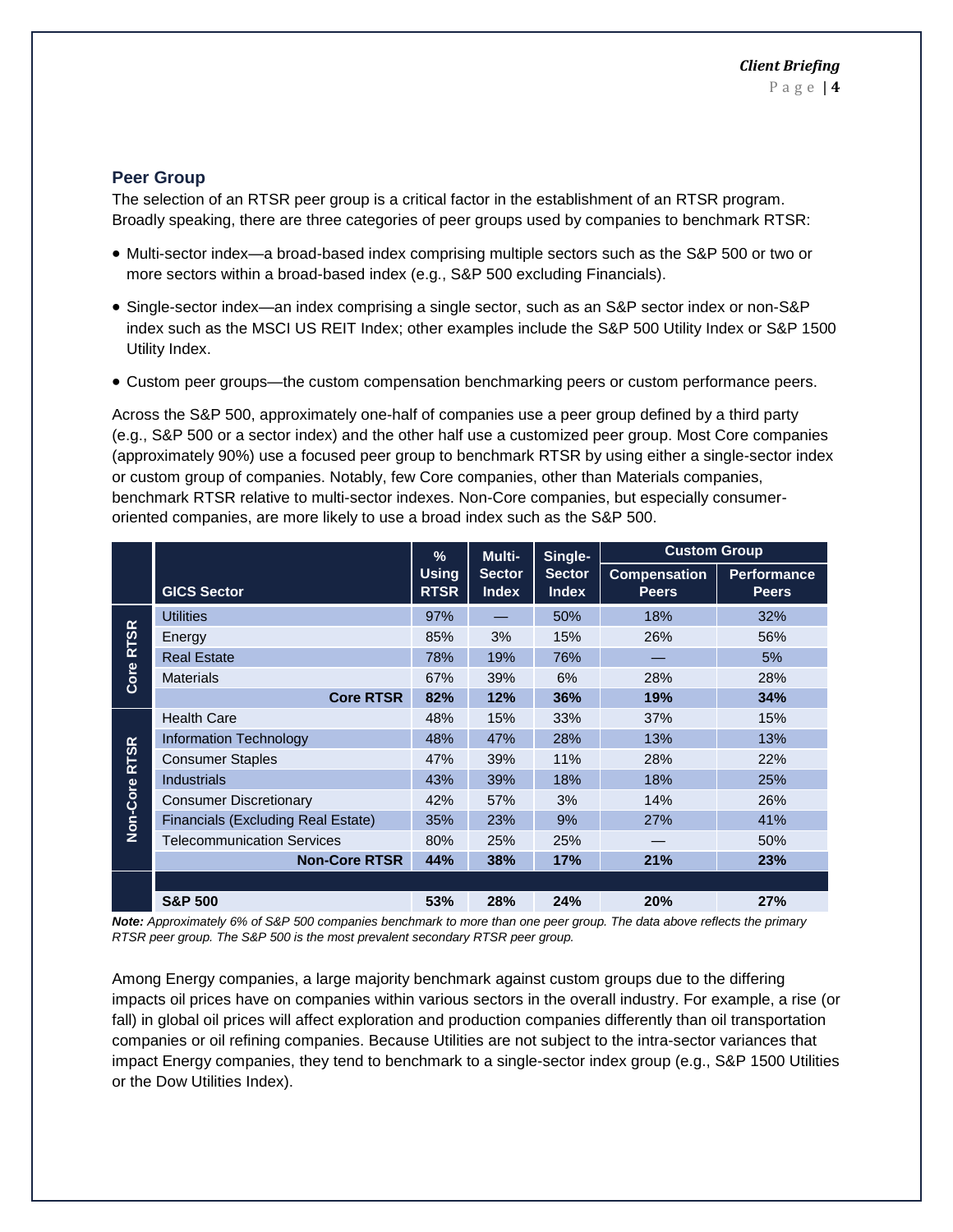#### **Peer Group**

The selection of an RTSR peer group is a critical factor in the establishment of an RTSR program. Broadly speaking, there are three categories of peer groups used by companies to benchmark RTSR:

- Multi-sector index—a broad-based index comprising multiple sectors such as the S&P 500 or two or more sectors within a broad-based index (e.g., S&P 500 excluding Financials).
- Single-sector index—an index comprising a single sector, such as an S&P sector index or non-S&P index such as the MSCI US REIT Index; other examples include the S&P 500 Utility Index or S&P 1500 Utility Index.
- Custom peer groups—the custom compensation benchmarking peers or custom performance peers.

Across the S&P 500, approximately one-half of companies use a peer group defined by a third party (e.g., S&P 500 or a sector index) and the other half use a customized peer group. Most Core companies (approximately 90%) use a focused peer group to benchmark RTSR by using either a single-sector index or custom group of companies. Notably, few Core companies, other than Materials companies, benchmark RTSR relative to multi-sector indexes. Non-Core companies, but especially consumeroriented companies, are more likely to use a broad index such as the S&P 500.

|             |                                    |                                                              | Multi- | Single-                       | <b>Custom Group</b>                 |                                    |  |
|-------------|------------------------------------|--------------------------------------------------------------|--------|-------------------------------|-------------------------------------|------------------------------------|--|
|             | <b>GICS Sector</b>                 | <b>Using</b><br><b>Sector</b><br><b>RTSR</b><br><b>Index</b> |        | <b>Sector</b><br><b>Index</b> | <b>Compensation</b><br><b>Peers</b> | <b>Performance</b><br><b>Peers</b> |  |
| $\alpha$    | <b>Utilities</b>                   | 97%                                                          |        | 50%                           | 18%                                 | 32%                                |  |
| <b>RTSI</b> | Energy                             |                                                              | 3%     | 15%                           | 26%                                 | 56%                                |  |
|             | <b>Real Estate</b>                 | 78%                                                          | 19%    | 76%                           |                                     | 5%                                 |  |
| Core        | <b>Materials</b>                   | 67%                                                          | 39%    | 6%                            | 28%                                 | 28%                                |  |
|             | <b>Core RTSR</b>                   | 82%                                                          | 12%    | 36%                           | 19%                                 | 34%                                |  |
|             | <b>Health Care</b>                 | 48%                                                          | 15%    | 33%                           | 37%                                 | 15%                                |  |
|             | Information Technology             | 48%                                                          | 47%    | 28%                           | 13%                                 | 13%                                |  |
| <b>RTSR</b> | <b>Consumer Staples</b>            |                                                              | 39%    | 11%                           | 28%                                 | 22%                                |  |
|             | <b>Industrials</b>                 | 43%                                                          | 39%    | 18%                           | 18%                                 | 25%                                |  |
| Non-Core    | <b>Consumer Discretionary</b>      | 42%                                                          | 57%    | 3%                            | 14%                                 | 26%                                |  |
|             | Financials (Excluding Real Estate) | 35%                                                          | 23%    | 9%                            | 27%                                 | 41%                                |  |
|             | <b>Telecommunication Services</b>  |                                                              | 25%    | 25%                           |                                     | 50%                                |  |
|             | <b>Non-Core RTSR</b>               | 44%                                                          | 38%    | 17%                           | 21%                                 | 23%                                |  |
|             |                                    |                                                              |        |                               |                                     |                                    |  |
|             | <b>S&amp;P 500</b>                 | 53%                                                          | 28%    | 24%                           | 20%                                 | 27%                                |  |

*Note: Approximately 6% of S&P 500 companies benchmark to more than one peer group. The data above reflects the primary RTSR peer group. The S&P 500 is the most prevalent secondary RTSR peer group.*

Among Energy companies, a large majority benchmark against custom groups due to the differing impacts oil prices have on companies within various sectors in the overall industry. For example, a rise (or fall) in global oil prices will affect exploration and production companies differently than oil transportation companies or oil refining companies. Because Utilities are not subject to the intra-sector variances that impact Energy companies, they tend to benchmark to a single-sector index group (e.g., S&P 1500 Utilities or the Dow Utilities Index).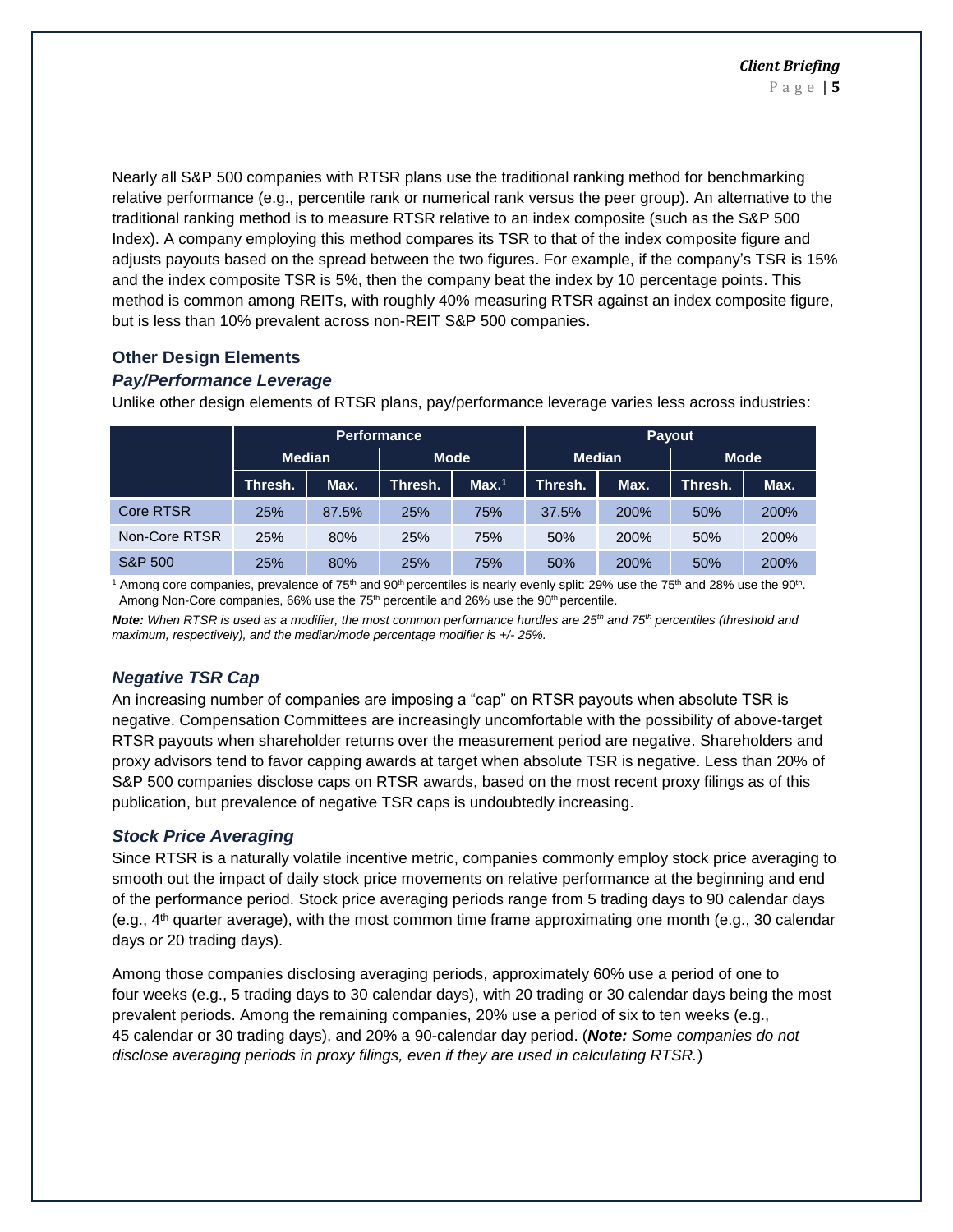Nearly all S&P 500 companies with RTSR plans use the traditional ranking method for benchmarking relative performance (e.g., percentile rank or numerical rank versus the peer group). An alternative to the traditional ranking method is to measure RTSR relative to an index composite (such as the S&P 500 Index). A company employing this method compares its TSR to that of the index composite figure and adjusts payouts based on the spread between the two figures. For example, if the company's TSR is 15% and the index composite TSR is 5%, then the company beat the index by 10 percentage points. This method is common among REITs, with roughly 40% measuring RTSR against an index composite figure, but is less than 10% prevalent across non-REIT S&P 500 companies.

## **Other Design Elements**

#### *Pay/Performance Leverage*

Unlike other design elements of RTSR plans, pay/performance leverage varies less across industries:

|                    |                 |       | <b>Performance</b> |                   | Payout        |             |             |      |  |  |
|--------------------|-----------------|-------|--------------------|-------------------|---------------|-------------|-------------|------|--|--|
|                    | <b>Median</b>   |       | <b>Mode</b>        |                   | <b>Median</b> |             | <b>Mode</b> |      |  |  |
|                    | Max.<br>Thresh. |       | Thresh.            | Max. <sup>1</sup> | Thresh.       | Max.        | Thresh.     | Max. |  |  |
| <b>Core RTSR</b>   | 25%             | 87.5% | <b>25%</b>         | 75%               | 37.5%         | <b>200%</b> | 50%         | 200% |  |  |
| Non-Core RTSR      | 25%             | 80%   | 25%                | 75%               | 50%           | 200%        | 50%         | 200% |  |  |
| <b>S&amp;P 500</b> | 25%             | 80%   | 25%                | 75%               | 50%           | 200%        | 50%         | 200% |  |  |

<sup>1</sup> Among core companies, prevalence of 75<sup>th</sup> and 90<sup>th</sup> percentiles is nearly evenly split: 29% use the 75<sup>th</sup> and 28% use the 90<sup>th</sup>. Among Non-Core companies, 66% use the 75<sup>th</sup> percentile and 26% use the 90<sup>th</sup> percentile.

*Note: When RTSR is used as a modifier, the most common performance hurdles are 25th and 75th percentiles (threshold and maximum, respectively), and the median/mode percentage modifier is +/- 25%.*

## *Negative TSR Cap*

An increasing number of companies are imposing a "cap" on RTSR payouts when absolute TSR is negative. Compensation Committees are increasingly uncomfortable with the possibility of above-target RTSR payouts when shareholder returns over the measurement period are negative. Shareholders and proxy advisors tend to favor capping awards at target when absolute TSR is negative. Less than 20% of S&P 500 companies disclose caps on RTSR awards, based on the most recent proxy filings as of this publication, but prevalence of negative TSR caps is undoubtedly increasing.

## *Stock Price Averaging*

Since RTSR is a naturally volatile incentive metric, companies commonly employ stock price averaging to smooth out the impact of daily stock price movements on relative performance at the beginning and end of the performance period. Stock price averaging periods range from 5 trading days to 90 calendar days (e.g.,  $4<sup>th</sup>$  quarter average), with the most common time frame approximating one month (e.g., 30 calendar days or 20 trading days).

Among those companies disclosing averaging periods, approximately 60% use a period of one to four weeks (e.g., 5 trading days to 30 calendar days), with 20 trading or 30 calendar days being the most prevalent periods. Among the remaining companies, 20% use a period of six to ten weeks (e.g., 45 calendar or 30 trading days), and 20% a 90-calendar day period. (*Note: Some companies do not disclose averaging periods in proxy filings, even if they are used in calculating RTSR.*)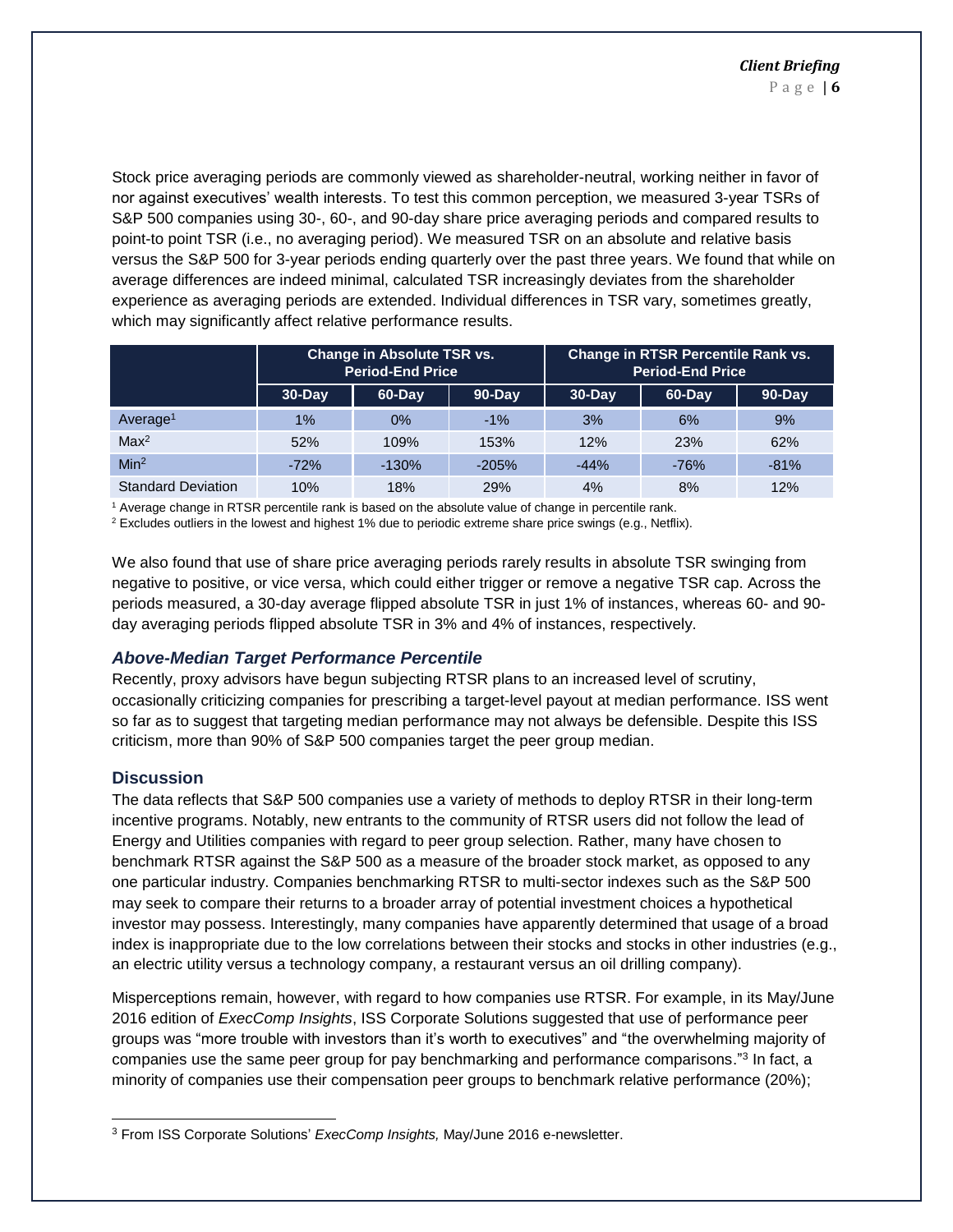Stock price averaging periods are commonly viewed as shareholder-neutral, working neither in favor of nor against executives' wealth interests. To test this common perception, we measured 3-year TSRs of S&P 500 companies using 30-, 60-, and 90-day share price averaging periods and compared results to point-to point TSR (i.e., no averaging period). We measured TSR on an absolute and relative basis versus the S&P 500 for 3-year periods ending quarterly over the past three years. We found that while on average differences are indeed minimal, calculated TSR increasingly deviates from the shareholder experience as averaging periods are extended. Individual differences in TSR vary, sometimes greatly, which may significantly affect relative performance results.

|                           |           | <b>Change in Absolute TSR vs.</b><br><b>Period-End Price</b> |         | Change in RTSR Percentile Rank vs.<br><b>Period-End Price</b> |        |            |  |  |  |
|---------------------------|-----------|--------------------------------------------------------------|---------|---------------------------------------------------------------|--------|------------|--|--|--|
|                           | $30$ -Day | 60-Day                                                       | 90-Day  | $30$ -Day                                                     | 60-Day | $90 - Day$ |  |  |  |
| Average <sup>1</sup>      | 1%        | $0\%$                                                        | $-1%$   | 3%                                                            | 6%     | 9%         |  |  |  |
| Max <sup>2</sup>          | 52%       | 109%                                                         | 153%    | 12%                                                           | 23%    | 62%        |  |  |  |
| Min <sup>2</sup>          | $-72%$    | $-130%$                                                      | $-205%$ | $-44%$                                                        | $-76%$ | $-81%$     |  |  |  |
| <b>Standard Deviation</b> | 10%       | 18%                                                          | 29%     | 4%                                                            | 8%     | 12%        |  |  |  |

<sup>1</sup> Average change in RTSR percentile rank is based on the absolute value of change in percentile rank.

 $2$  Excludes outliers in the lowest and highest 1% due to periodic extreme share price swings (e.g., Netflix).

We also found that use of share price averaging periods rarely results in absolute TSR swinging from negative to positive, or vice versa, which could either trigger or remove a negative TSR cap. Across the periods measured, a 30-day average flipped absolute TSR in just 1% of instances, whereas 60- and 90 day averaging periods flipped absolute TSR in 3% and 4% of instances, respectively.

#### *Above-Median Target Performance Percentile*

Recently, proxy advisors have begun subjecting RTSR plans to an increased level of scrutiny, occasionally criticizing companies for prescribing a target-level payout at median performance. ISS went so far as to suggest that targeting median performance may not always be defensible. Despite this ISS criticism, more than 90% of S&P 500 companies target the peer group median.

#### **Discussion**

l

The data reflects that S&P 500 companies use a variety of methods to deploy RTSR in their long-term incentive programs. Notably, new entrants to the community of RTSR users did not follow the lead of Energy and Utilities companies with regard to peer group selection. Rather, many have chosen to benchmark RTSR against the S&P 500 as a measure of the broader stock market, as opposed to any one particular industry. Companies benchmarking RTSR to multi-sector indexes such as the S&P 500 may seek to compare their returns to a broader array of potential investment choices a hypothetical investor may possess. Interestingly, many companies have apparently determined that usage of a broad index is inappropriate due to the low correlations between their stocks and stocks in other industries (e.g., an electric utility versus a technology company, a restaurant versus an oil drilling company).

Misperceptions remain, however, with regard to how companies use RTSR. For example, in its May/June 2016 edition of *ExecComp Insights*, ISS Corporate Solutions suggested that use of performance peer groups was "more trouble with investors than it's worth to executives" and "the overwhelming majority of companies use the same peer group for pay benchmarking and performance comparisons."<sup>3</sup> In fact, a minority of companies use their compensation peer groups to benchmark relative performance (20%);

<sup>3</sup> From ISS Corporate Solutions' *ExecComp Insights,* May/June 2016 e-newsletter.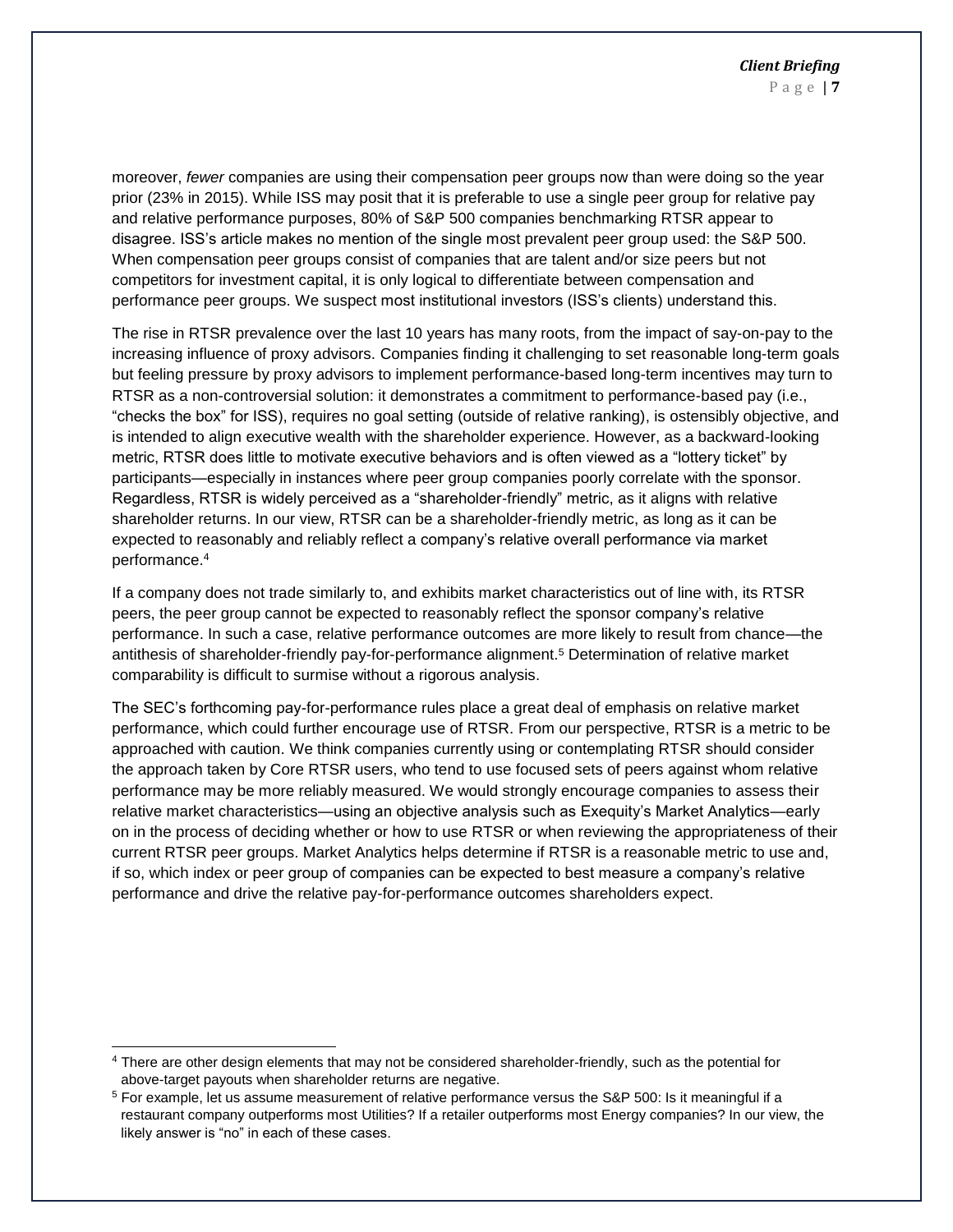moreover, *fewer* companies are using their compensation peer groups now than were doing so the year prior (23% in 2015). While ISS may posit that it is preferable to use a single peer group for relative pay and relative performance purposes, 80% of S&P 500 companies benchmarking RTSR appear to disagree. ISS's article makes no mention of the single most prevalent peer group used: the S&P 500. When compensation peer groups consist of companies that are talent and/or size peers but not competitors for investment capital, it is only logical to differentiate between compensation and performance peer groups. We suspect most institutional investors (ISS's clients) understand this.

The rise in RTSR prevalence over the last 10 years has many roots, from the impact of say-on-pay to the increasing influence of proxy advisors. Companies finding it challenging to set reasonable long-term goals but feeling pressure by proxy advisors to implement performance-based long-term incentives may turn to RTSR as a non-controversial solution: it demonstrates a commitment to performance-based pay (i.e., "checks the box" for ISS), requires no goal setting (outside of relative ranking), is ostensibly objective, and is intended to align executive wealth with the shareholder experience. However, as a backward-looking metric, RTSR does little to motivate executive behaviors and is often viewed as a "lottery ticket" by participants—especially in instances where peer group companies poorly correlate with the sponsor. Regardless, RTSR is widely perceived as a "shareholder-friendly" metric, as it aligns with relative shareholder returns. In our view, RTSR can be a shareholder-friendly metric, as long as it can be expected to reasonably and reliably reflect a company's relative overall performance via market performance.<sup>4</sup>

If a company does not trade similarly to, and exhibits market characteristics out of line with, its RTSR peers, the peer group cannot be expected to reasonably reflect the sponsor company's relative performance. In such a case, relative performance outcomes are more likely to result from chance—the antithesis of shareholder-friendly pay-for-performance alignment. <sup>5</sup> Determination of relative market comparability is difficult to surmise without a rigorous analysis.

The SEC's forthcoming pay-for-performance rules place a great deal of emphasis on relative market performance, which could further encourage use of RTSR. From our perspective, RTSR is a metric to be approached with caution. We think companies currently using or contemplating RTSR should consider the approach taken by Core RTSR users, who tend to use focused sets of peers against whom relative performance may be more reliably measured. We would strongly encourage companies to assess their relative market characteristics—using an objective analysis such as Exequity's Market Analytics—early on in the process of deciding whether or how to use RTSR or when reviewing the appropriateness of their current RTSR peer groups. Market Analytics helps determine if RTSR is a reasonable metric to use and, if so, which index or peer group of companies can be expected to best measure a company's relative performance and drive the relative pay-for-performance outcomes shareholders expect.

l

<sup>4</sup> There are other design elements that may not be considered shareholder-friendly, such as the potential for above-target payouts when shareholder returns are negative.

<sup>5</sup> For example, let us assume measurement of relative performance versus the S&P 500: Is it meaningful if a restaurant company outperforms most Utilities? If a retailer outperforms most Energy companies? In our view, the likely answer is "no" in each of these cases.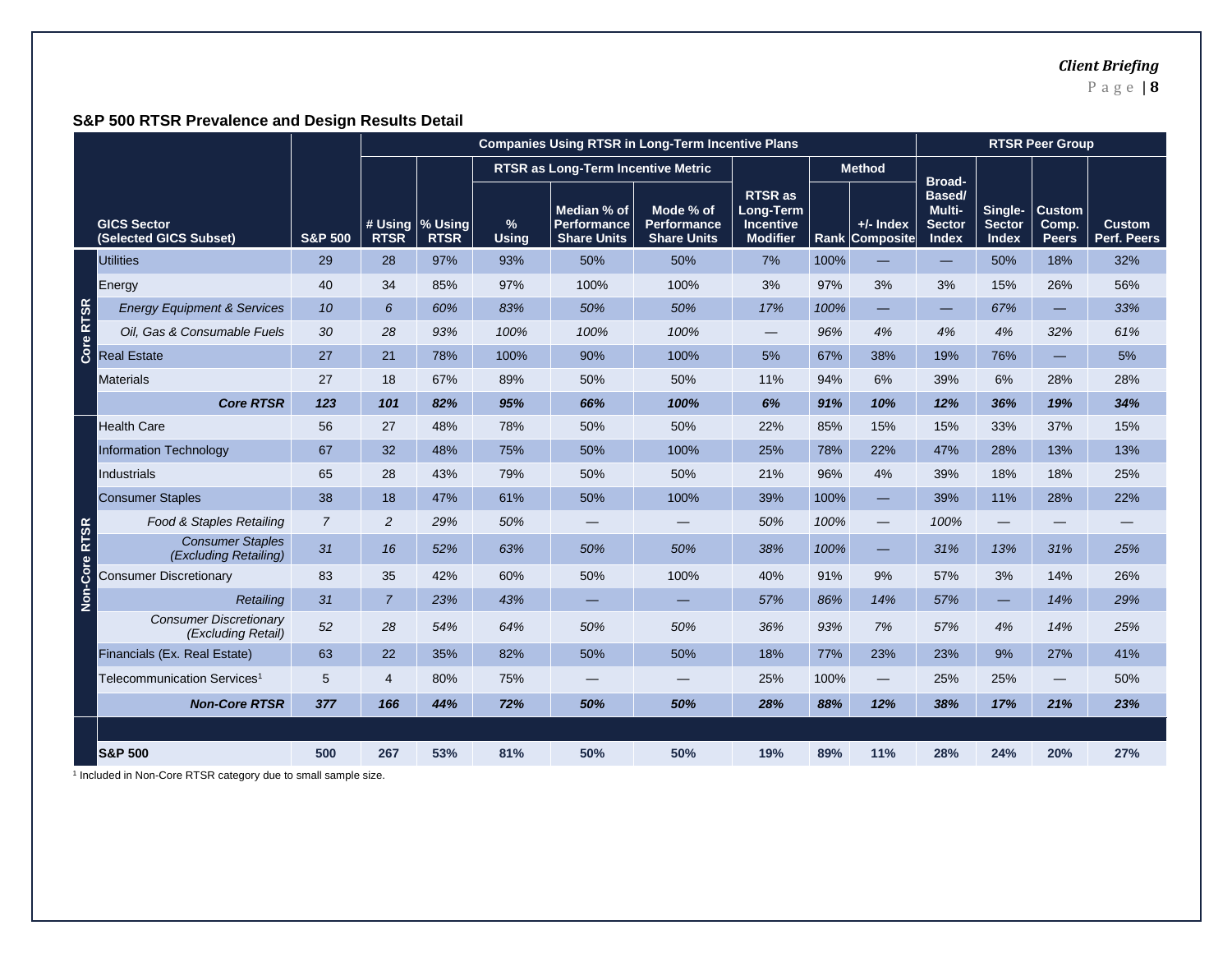# *Client Briefing*

P a g e | **8**

# **S&P 500 RTSR Prevalence and Design Results Detail**

|             |                                                     |                    | <b>Companies Using RTSR in Long-Term Incentive Plans</b> |                                |                      |                                                         |                                                       |                                                                    | <b>RTSR Peer Group</b> |                                 |                                                      |                                          |                                        |                              |
|-------------|-----------------------------------------------------|--------------------|----------------------------------------------------------|--------------------------------|----------------------|---------------------------------------------------------|-------------------------------------------------------|--------------------------------------------------------------------|------------------------|---------------------------------|------------------------------------------------------|------------------------------------------|----------------------------------------|------------------------------|
|             |                                                     |                    |                                                          |                                |                      | RTSR as Long-Term Incentive Metric                      |                                                       |                                                                    |                        | <b>Method</b>                   |                                                      |                                          |                                        |                              |
|             | <b>GICS Sector</b><br>(Selected GICS Subset)        | <b>S&amp;P 500</b> | <b>RTSR</b>                                              | # Using % Using<br><b>RTSR</b> | $\%$<br><b>Using</b> | Median % of<br><b>Performance</b><br><b>Share Units</b> | Mode % of<br><b>Performance</b><br><b>Share Units</b> | <b>RTSR</b> as<br>Long-Term<br><b>Incentive</b><br><b>Modifier</b> | Rank                   | $+/-$ Index<br><b>Composite</b> | Broad-<br>Based/<br>Multi-<br><b>Sector</b><br>Index | Single-<br><b>Sector</b><br><b>Index</b> | <b>Custom</b><br>Comp.<br><b>Peers</b> | <b>Custom</b><br>Perf. Peers |
|             | <b>Utilities</b>                                    | 29                 | 28                                                       | 97%                            | 93%                  | 50%                                                     | 50%                                                   | 7%                                                                 | 100%                   |                                 |                                                      | 50%                                      | 18%                                    | 32%                          |
|             | Energy                                              | 40                 | 34                                                       | 85%                            | 97%                  | 100%                                                    | 100%                                                  | 3%                                                                 | 97%                    | 3%                              | 3%                                                   | 15%                                      | 26%                                    | 56%                          |
| Core RTSR   | <b>Energy Equipment &amp; Services</b>              | 10                 | 6                                                        | 60%                            | 83%                  | 50%                                                     | 50%                                                   | 17%                                                                | 100%                   | —                               | -                                                    | 67%                                      |                                        | 33%                          |
|             | Oil. Gas & Consumable Fuels                         | 30                 | 28                                                       | 93%                            | 100%                 | 100%                                                    | 100%                                                  |                                                                    | 96%                    | 4%                              | 4%                                                   | 4%                                       | 32%                                    | 61%                          |
|             | <b>Real Estate</b>                                  | 27                 | 21                                                       | 78%                            | 100%                 | 90%                                                     | 100%                                                  | 5%                                                                 | 67%                    | 38%                             | 19%                                                  | 76%                                      | $\overline{\phantom{0}}$               | 5%                           |
|             | <b>Materials</b>                                    | 27                 | 18                                                       | 67%                            | 89%                  | 50%                                                     | 50%                                                   | 11%                                                                | 94%                    | 6%                              | 39%                                                  | 6%                                       | 28%                                    | 28%                          |
|             | <b>Core RTSR</b>                                    | 123                | 101                                                      | 82%                            | 95%                  | 66%                                                     | 100%                                                  | 6%                                                                 | 91%                    | 10%                             | 12%                                                  | 36%                                      | 19%                                    | 34%                          |
|             | <b>Health Care</b>                                  | 56                 | 27                                                       | 48%                            | 78%                  | 50%                                                     | 50%                                                   | 22%                                                                | 85%                    | 15%                             | 15%                                                  | 33%                                      | 37%                                    | 15%                          |
|             | <b>Information Technology</b>                       | 67                 | 32                                                       | 48%                            | 75%                  | 50%                                                     | 100%                                                  | 25%                                                                | 78%                    | 22%                             | 47%                                                  | 28%                                      | 13%                                    | 13%                          |
|             | <b>Industrials</b>                                  | 65                 | 28                                                       | 43%                            | 79%                  | 50%                                                     | 50%                                                   | 21%                                                                | 96%                    | 4%                              | 39%                                                  | 18%                                      | 18%                                    | 25%                          |
|             | <b>Consumer Staples</b>                             | 38                 | 18                                                       | 47%                            | 61%                  | 50%                                                     | 100%                                                  | 39%                                                                | 100%                   |                                 | 39%                                                  | 11%                                      | 28%                                    | 22%                          |
| <b>RTSR</b> | Food & Staples Retailing                            | $\overline{7}$     | 2                                                        | 29%                            | 50%                  |                                                         |                                                       | 50%                                                                | 100%                   |                                 | 100%                                                 |                                          |                                        |                              |
|             | <b>Consumer Staples</b><br>(Excluding Retailing)    | 31                 | 16                                                       | 52%                            | 63%                  | 50%                                                     | 50%                                                   | 38%                                                                | 100%                   |                                 | 31%                                                  | 13%                                      | 31%                                    | 25%                          |
|             | <b>Consumer Discretionary</b>                       | 83                 | 35                                                       | 42%                            | 60%                  | 50%                                                     | 100%                                                  | 40%                                                                | 91%                    | 9%                              | 57%                                                  | 3%                                       | 14%                                    | 26%                          |
| Non-Core    | Retailing                                           | 31                 | 7                                                        | 23%                            | 43%                  |                                                         |                                                       | 57%                                                                | 86%                    | 14%                             | 57%                                                  |                                          | 14%                                    | 29%                          |
|             | <b>Consumer Discretionary</b><br>(Excluding Retail) | 52                 | 28                                                       | 54%                            | 64%                  | 50%                                                     | 50%                                                   | 36%                                                                | 93%                    | 7%                              | 57%                                                  | 4%                                       | 14%                                    | 25%                          |
|             | Financials (Ex. Real Estate)                        | 63                 | 22                                                       | 35%                            | 82%                  | 50%                                                     | 50%                                                   | 18%                                                                | 77%                    | 23%                             | 23%                                                  | 9%                                       | 27%                                    | 41%                          |
|             | Telecommunication Services <sup>1</sup>             | 5                  | 4                                                        | 80%                            | 75%                  |                                                         |                                                       | 25%                                                                | 100%                   |                                 | 25%                                                  | 25%                                      |                                        | 50%                          |
|             | <b>Non-Core RTSR</b>                                | 377                | 166                                                      | 44%                            | 72%                  | 50%                                                     | 50%                                                   | 28%                                                                | 88%                    | 12%                             | 38%                                                  | 17%                                      | 21%                                    | 23%                          |
|             |                                                     |                    |                                                          |                                |                      |                                                         |                                                       |                                                                    |                        |                                 |                                                      |                                          |                                        |                              |
|             | <b>S&amp;P 500</b>                                  | 500                | 267                                                      | 53%                            | 81%                  | 50%                                                     | 50%                                                   | 19%                                                                | 89%                    | 11%                             | 28%                                                  | 24%                                      | 20%                                    | 27%                          |

<sup>1</sup> Included in Non-Core RTSR category due to small sample size.